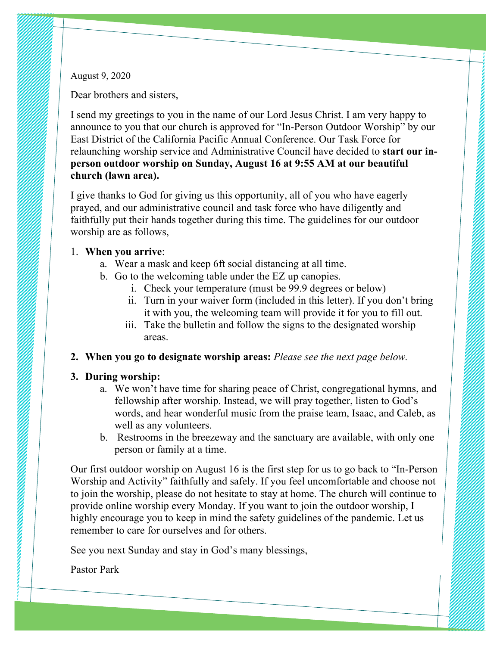August 9, 2020

Dear brothers and sisters,

I send my greetings to you in the name of our Lord Jesus Christ. I am very happy to announce to you that our church is approved for "In-Person Outdoor Worship" by our East District of the California Pacific Annual Conference. Our Task Force for relaunching worship service and Administrative Council have decided to **start our inperson outdoor worship on Sunday, August 16 at 9:55 AM at our beautiful church (lawn area).**

I give thanks to God for giving us this opportunity, all of you who have eagerly prayed, and our administrative council and task force who have diligently and faithfully put their hands together during this time. The guidelines for our outdoor worship are as follows,

## 1. **When you arrive**:

- a. Wear a mask and keep 6ft social distancing at all time.
- b. Go to the welcoming table under the EZ up canopies.
	- i. Check your temperature (must be 99.9 degrees or below)
	- ii. Turn in your waiver form (included in this letter). If you don't bring it with you, the welcoming team will provide it for you to fill out.
	- iii. Take the bulletin and follow the signs to the designated worship areas.
- **2. When you go to designate worship areas:** *Please see the next page below.*

## **3. During worship:**

- a. We won't have time for sharing peace of Christ, congregational hymns, and fellowship after worship. Instead, we will pray together, listen to God's words, and hear wonderful music from the praise team, Isaac, and Caleb, as well as any volunteers.
- b. Restrooms in the breezeway and the sanctuary are available, with only one person or family at a time.

Our first outdoor worship on August 16 is the first step for us to go back to "In-Person Worship and Activity" faithfully and safely. If you feel uncomfortable and choose not to join the worship, please do not hesitate to stay at home. The church will continue to provide online worship every Monday. If you want to join the outdoor worship, I highly encourage you to keep in mind the safety guidelines of the pandemic. Let us remember to care for ourselves and for others.

See you next Sunday and stay in God's many blessings,

Pastor Park